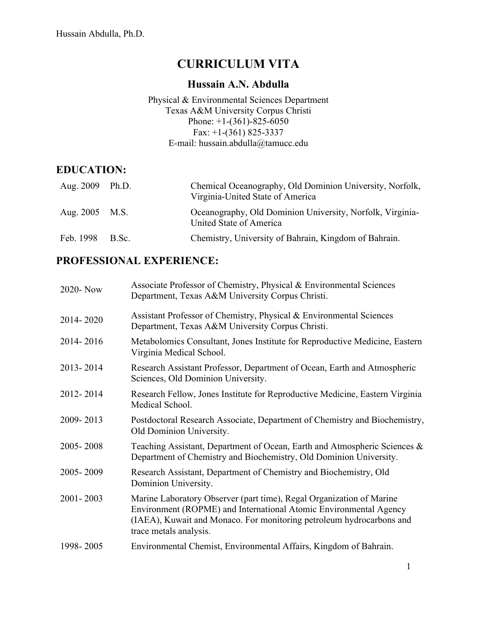# **CURRICULUM VITA**

#### **Hussain A.N. Abdulla**

#### Physical & Environmental Sciences Department Texas A&M University Corpus Christi Phone:  $+1-(361)-825-6050$ Fax: +1-(361) 825-3337 E-mail: hussain.abdulla@tamucc.edu

#### **EDUCATION:**

| Aug. 2009 Ph.D. | Chemical Oceanography, Old Dominion University, Norfolk,<br>Virginia-United State of America |
|-----------------|----------------------------------------------------------------------------------------------|
| Aug. 2005 M.S.  | Oceanography, Old Dominion University, Norfolk, Virginia-<br>United State of America         |
| Feb. 1998 B.Sc. | Chemistry, University of Bahrain, Kingdom of Bahrain.                                        |

### **PROFESSIONAL EXPERIENCE:**

| 2020-Now  | Associate Professor of Chemistry, Physical & Environmental Sciences<br>Department, Texas A&M University Corpus Christi.                                                                                                                     |  |
|-----------|---------------------------------------------------------------------------------------------------------------------------------------------------------------------------------------------------------------------------------------------|--|
| 2014-2020 | Assistant Professor of Chemistry, Physical & Environmental Sciences<br>Department, Texas A&M University Corpus Christi.                                                                                                                     |  |
| 2014-2016 | Metabolomics Consultant, Jones Institute for Reproductive Medicine, Eastern<br>Virginia Medical School.                                                                                                                                     |  |
| 2013-2014 | Research Assistant Professor, Department of Ocean, Earth and Atmospheric<br>Sciences, Old Dominion University.                                                                                                                              |  |
| 2012-2014 | Research Fellow, Jones Institute for Reproductive Medicine, Eastern Virginia<br>Medical School.                                                                                                                                             |  |
| 2009-2013 | Postdoctoral Research Associate, Department of Chemistry and Biochemistry,<br>Old Dominion University.                                                                                                                                      |  |
| 2005-2008 | Teaching Assistant, Department of Ocean, Earth and Atmospheric Sciences &<br>Department of Chemistry and Biochemistry, Old Dominion University.                                                                                             |  |
| 2005-2009 | Research Assistant, Department of Chemistry and Biochemistry, Old<br>Dominion University.                                                                                                                                                   |  |
| 2001-2003 | Marine Laboratory Observer (part time), Regal Organization of Marine<br>Environment (ROPME) and International Atomic Environmental Agency<br>(IAEA), Kuwait and Monaco. For monitoring petroleum hydrocarbons and<br>trace metals analysis. |  |
| 1998-2005 | Environmental Chemist, Environmental Affairs, Kingdom of Bahrain.                                                                                                                                                                           |  |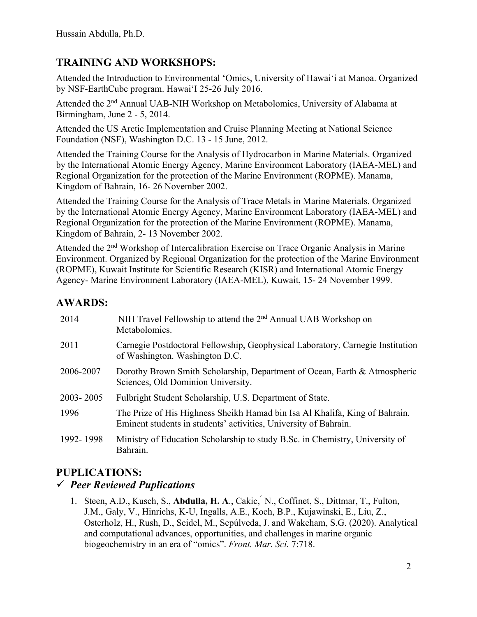### **TRAINING AND WORKSHOPS:**

Attended the Introduction to Environmental 'Omics, University of Hawai'i at Manoa. Organized by NSF-EarthCube program. Hawai'I 25-26 July 2016.

Attended the 2nd Annual UAB-NIH Workshop on Metabolomics, University of Alabama at Birmingham, June 2 - 5, 2014.

Attended the US Arctic Implementation and Cruise Planning Meeting at National Science Foundation (NSF), Washington D.C. 13 - 15 June, 2012.

Attended the Training Course for the Analysis of Hydrocarbon in Marine Materials. Organized by the International Atomic Energy Agency, Marine Environment Laboratory (IAEA-MEL) and Regional Organization for the protection of the Marine Environment (ROPME). Manama, Kingdom of Bahrain, 16- 26 November 2002.

Attended the Training Course for the Analysis of Trace Metals in Marine Materials. Organized by the International Atomic Energy Agency, Marine Environment Laboratory (IAEA-MEL) and Regional Organization for the protection of the Marine Environment (ROPME). Manama, Kingdom of Bahrain, 2- 13 November 2002.

Attended the 2nd Workshop of Intercalibration Exercise on Trace Organic Analysis in Marine Environment. Organized by Regional Organization for the protection of the Marine Environment (ROPME), Kuwait Institute for Scientific Research (KISR) and International Atomic Energy Agency- Marine Environment Laboratory (IAEA-MEL), Kuwait, 15- 24 November 1999.

### **AWARDS:**

| 2014      | NIH Travel Fellowship to attend the 2 <sup>nd</sup> Annual UAB Workshop on<br>Metabolomics.                                                     |  |
|-----------|-------------------------------------------------------------------------------------------------------------------------------------------------|--|
| 2011      | Carnegie Postdoctoral Fellowship, Geophysical Laboratory, Carnegie Institution<br>of Washington. Washington D.C.                                |  |
| 2006-2007 | Dorothy Brown Smith Scholarship, Department of Ocean, Earth & Atmospheric<br>Sciences, Old Dominion University.                                 |  |
| 2003-2005 | Fulbright Student Scholarship, U.S. Department of State.                                                                                        |  |
| 1996      | The Prize of His Highness Sheikh Hamad bin Isa Al Khalifa, King of Bahrain.<br>Eminent students in students' activities, University of Bahrain. |  |
| 1992-1998 | Ministry of Education Scholarship to study B.Sc. in Chemistry, University of<br>Bahrain.                                                        |  |

### **PUPLICATIONS:**

### ü *Peer Reviewed Puplications*

1. Steen, A.D., Kusch, S., **Abdulla, H. A**., Cakic, ́N., Coffinet, S., Dittmar, T., Fulton, J.M., Galy, V., Hinrichs, K-U, Ingalls, A.E., Koch, B.P., Kujawinski, E., Liu, Z., Osterholz, H., Rush, D., Seidel, M., Sepúlveda, J. and Wakeham, S.G. (2020). Analytical and computational advances, opportunities, and challenges in marine organic biogeochemistry in an era of "omics". *Front. Mar. Sci.* 7:718.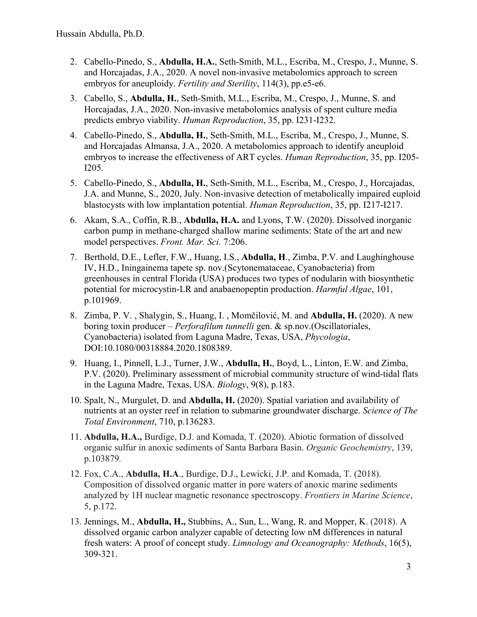- 2. Cabello-Pinedo, S., **Abdulla, H.A.**, Seth-Smith, M.L., Escriba, M., Crespo, J., Munne, S. and Horcajadas, J.A., 2020. A novel non-invasive metabolomics approach to screen embryos for aneuploidy. *Fertility and Sterility*, 114(3), pp.e5-e6.
- 3. Cabello, S., **Abdulla, H.**, Seth-Smith, M.L., Escriba, M., Crespo, J., Munne, S. and Horcajadas, J.A., 2020. Non-invasive metabolomics analysis of spent culture media predicts embryo viability. *Human Reproduction*, 35, pp. I231-I232.
- 4. Cabello-Pinedo, S., **Abdulla, H.**, Seth-Smith, M.L., Escriba, M., Crespo, J., Munne, S. and Horcajadas Almansa, J.A., 2020. A metabolomics approach to identify aneuploid embryos to increase the effectiveness of ART cycles. *Human Reproduction*, 35, pp. I205- I205.
- 5. Cabello-Pinedo, S., **Abdulla, H.**, Seth-Smith, M.L., Escriba, M., Crespo, J., Horcajadas, J.A. and Munne, S., 2020, July. Non-invasive detection of metabolically impaired euploid blastocysts with low implantation potential. *Human Reproduction*, 35, pp. I217-I217.
- 6. Akam, S.A., Coffin, R.B., **Abdulla, H.A.** and Lyons, T.W. (2020). Dissolved inorganic carbon pump in methane-charged shallow marine sediments: State of the art and new model perspectives. *Front. Mar. Sci.* 7:206.
- 7. Berthold, D.E., Lefler, F.W., Huang, I.S., **Abdulla, H**., Zimba, P.V. and Laughinghouse IV, H.D., Iningainema tapete sp. nov.(Scytonemataceae, Cyanobacteria) from greenhouses in central Florida (USA) produces two types of nodularin with biosynthetic potential for microcystin-LR and anabaenopeptin production. *Harmful Algae*, 101, p.101969.
- 8. Zimba, P. V. , Shalygin, S., Huang, I. , Momčilović, M. and **Abdulla, H.** (2020). A new boring toxin producer – *Perforafilum tunnelli* gen. & sp.nov.(Oscillatoriales, Cyanobacteria) isolated from Laguna Madre, Texas, USA, *Phycologia*, DOI:10.1080/00318884.2020.1808389.
- 9. Huang, I., Pinnell, L.J., Turner, J.W., **Abdulla, H.**, Boyd, L., Linton, E.W. and Zimba, P.V. (2020). Preliminary assessment of microbial community structure of wind-tidal flats in the Laguna Madre, Texas, USA. *Biology*, 9(8), p.183.
- 10. Spalt, N., Murgulet, D. and **Abdulla, H.** (2020). Spatial variation and availability of nutrients at an oyster reef in relation to submarine groundwater discharge. *Science of The Total Environment*, 710, p.136283.
- 11. **Abdulla, H.A.,** Burdige, D.J. and Komada, T. (2020). Abiotic formation of dissolved organic sulfur in anoxic sediments of Santa Barbara Basin. *Organic Geochemistry*, 139, p.103879*.*
- 12. Fox, C.A., **Abdulla, H.A**., Burdige, D.J., Lewicki, J.P. and Komada, T. (2018). Composition of dissolved organic matter in pore waters of anoxic marine sediments analyzed by 1H nuclear magnetic resonance spectroscopy. *Frontiers in Marine Science*, 5, p.172.
- 13. Jennings, M., **Abdulla, H.,** Stubbins, A., Sun, L., Wang, R. and Mopper, K. (2018). A dissolved organic carbon analyzer capable of detecting low nM differences in natural fresh waters: A proof of concept study. *Limnology and Oceanography: Methods*, 16(5), 309-321.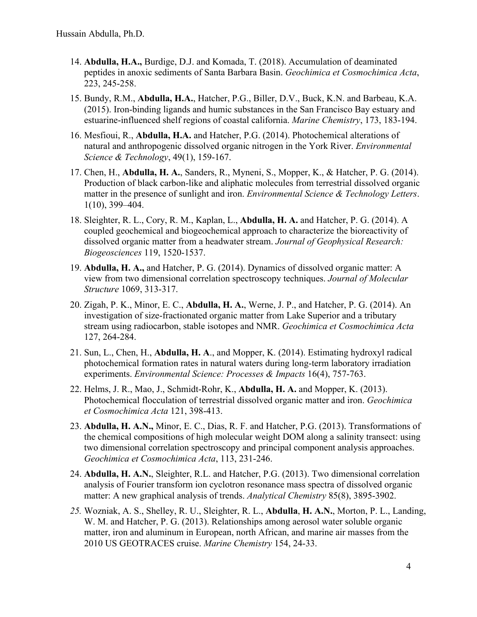- 14. **Abdulla, H.A.,** Burdige, D.J. and Komada, T. (2018). Accumulation of deaminated peptides in anoxic sediments of Santa Barbara Basin. *Geochimica et Cosmochimica Acta*, 223, 245-258.
- 15. Bundy, R.M., **Abdulla, H.A.**, Hatcher, P.G., Biller, D.V., Buck, K.N. and Barbeau, K.A. (2015). Iron-binding ligands and humic substances in the San Francisco Bay estuary and estuarine-influenced shelf regions of coastal california. *Marine Chemistry*, 173, 183-194.
- 16. Mesfioui, R., **Abdulla, H.A.** and Hatcher, P.G. (2014). Photochemical alterations of natural and anthropogenic dissolved organic nitrogen in the York River. *Environmental Science & Technology*, 49(1), 159-167.
- 17. Chen, H., **Abdulla, H. A.**, Sanders, R., Myneni, S., Mopper, K., & Hatcher, P. G. (2014). Production of black carbon-like and aliphatic molecules from terrestrial dissolved organic matter in the presence of sunlight and iron. *Environmental Science & Technology Letters*. 1(10), 399–404.
- 18. Sleighter, R. L., Cory, R. M., Kaplan, L., **Abdulla, H. A.** and Hatcher, P. G. (2014). A coupled geochemical and biogeochemical approach to characterize the bioreactivity of dissolved organic matter from a headwater stream. *Journal of Geophysical Research: Biogeosciences* 119, 1520-1537.
- 19. **Abdulla, H. A.,** and Hatcher, P. G. (2014). Dynamics of dissolved organic matter: A view from two dimensional correlation spectroscopy techniques. *Journal of Molecular Structure* 1069, 313-317.
- 20. Zigah, P. K., Minor, E. C., **Abdulla, H. A.**, Werne, J. P., and Hatcher, P. G. (2014). An investigation of size-fractionated organic matter from Lake Superior and a tributary stream using radiocarbon, stable isotopes and NMR. *Geochimica et Cosmochimica Acta* 127, 264-284.
- 21. Sun, L., Chen, H., **Abdulla, H. A**., and Mopper, K. (2014). Estimating hydroxyl radical photochemical formation rates in natural waters during long-term laboratory irradiation experiments. *Environmental Science: Processes & Impacts* 16(4), 757-763.
- 22. Helms, J. R., Mao, J., Schmidt-Rohr, K., **Abdulla, H. A.** and Mopper, K. (2013). Photochemical flocculation of terrestrial dissolved organic matter and iron. *Geochimica et Cosmochimica Acta* 121, 398-413.
- 23. **Abdulla, H. A.N.,** Minor, E. C., Dias, R. F. and Hatcher, P.G. (2013). Transformations of the chemical compositions of high molecular weight DOM along a salinity transect: using two dimensional correlation spectroscopy and principal component analysis approaches. *Geochimica et Cosmochimica Acta*, 113, 231-246.
- 24. **Abdulla, H. A.N.**, Sleighter, R.L. and Hatcher, P.G. (2013). Two dimensional correlation analysis of Fourier transform ion cyclotron resonance mass spectra of dissolved organic matter: A new graphical analysis of trends. *Analytical Chemistry* 85(8), 3895-3902.
- *25.* Wozniak, A. S., Shelley, R. U., Sleighter, R. L., **Abdulla**, **H. A.N.**, Morton, P. L., Landing, W. M. and Hatcher, P. G. (2013). Relationships among aerosol water soluble organic matter, iron and aluminum in European, north African, and marine air masses from the 2010 US GEOTRACES cruise. *Marine Chemistry* 154, 24-33.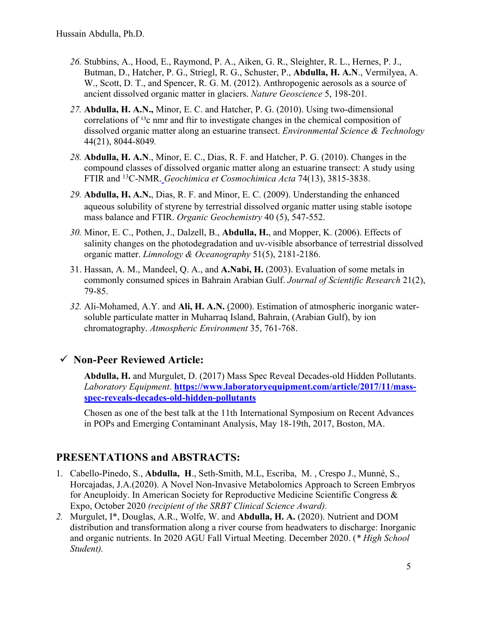- *26.* Stubbins, A., Hood, E., Raymond, P. A., Aiken, G. R., Sleighter, R. L., Hernes, P. J., Butman, D., Hatcher, P. G., Striegl, R. G., Schuster, P., **Abdulla, H. A.N**., Vermilyea, A. W., Scott, D. T., and Spencer, R. G. M. (2012). Anthropogenic aerosols as a source of ancient dissolved organic matter in glaciers. *Nature Geoscience* 5, 198-201*.*
- *27.* **Abdulla, H. A.N.,** Minor, E. C. and Hatcher, P. G. (2010). Using two-dimensional correlations of  $^{13}$ c nmr and ftir to investigate changes in the chemical composition of dissolved organic matter along an estuarine transect. *Environmental Science & Technology* 44(21), 8044-8049*.*
- *28.* **Abdulla, H. A.N**., Minor, E. C., Dias, R. F. and Hatcher, P. G. (2010). Changes in the compound classes of dissolved organic matter along an estuarine transect: A study using FTIR and 13C-NMR. *Geochimica et Cosmochimica Acta* 74(13), 3815-3838.
- *29.* **Abdulla, H. A.N.**, Dias, R. F. and Minor, E. C. (2009). Understanding the enhanced aqueous solubility of styrene by terrestrial dissolved organic matter using stable isotope mass balance and FTIR. *Organic Geochemistry* 40 (5), 547-552.
- *30.* Minor, E. C., Pothen, J., Dalzell, B., **Abdulla, H.**, and Mopper, K. (2006). Effects of salinity changes on the photodegradation and uv-visible absorbance of terrestrial dissolved organic matter. *Limnology & Oceanography* 51(5), 2181-2186.
- 31. Hassan, A. M., Mandeel, Q. A., and **A.Nabi, H.** (2003). Evaluation of some metals in commonly consumed spices in Bahrain Arabian Gulf. *Journal of Scientific Research* 21(2), 79-85.
- *32.* Ali-Mohamed, A.Y. and **Ali, H. A.N.** (2000). Estimation of atmospheric inorganic watersoluble particulate matter in Muharraq Island, Bahrain, (Arabian Gulf), by ion chromatography. *Atmospheric Environment* 35, 761-768.

### ü **Non-Peer Reviewed Article:**

**Abdulla, H.** and Murgulet, D. (2017) Mass Spec Reveal Decades-old Hidden Pollutants. *Laboratory Equipment*. **https://www.laboratoryequipment.com/article/2017/11/massspec-reveals-decades-old-hidden-pollutants**

Chosen as one of the best talk at the 11th International Symposium on Recent Advances in POPs and Emerging Contaminant Analysis, May 18-19th, 2017, Boston, MA.

### **PRESENTATIONS and ABSTRACTS:**

- 1. Cabello-Pinedo, S., **Abdulla, H**., Seth-Smith, M.L, Escriba, M. , Crespo J., Munné, S., Horcajadas, J.A.(2020). A Novel Non-Invasive Metabolomics Approach to Screen Embryos for Aneuploidy. In American Society for Reproductive Medicine Scientific Congress & Expo, October 2020 *(recipient of the SRBT Clinical Science Award).*
- *2.* Murgulet, I\*, Douglas, A.R., Wolfe, W. and **Abdulla, H. A.** (2020). Nutrient and DOM distribution and transformation along a river course from headwaters to discharge: Inorganic and organic nutrients. In 2020 AGU Fall Virtual Meeting. December 2020. (*\* High School Student).*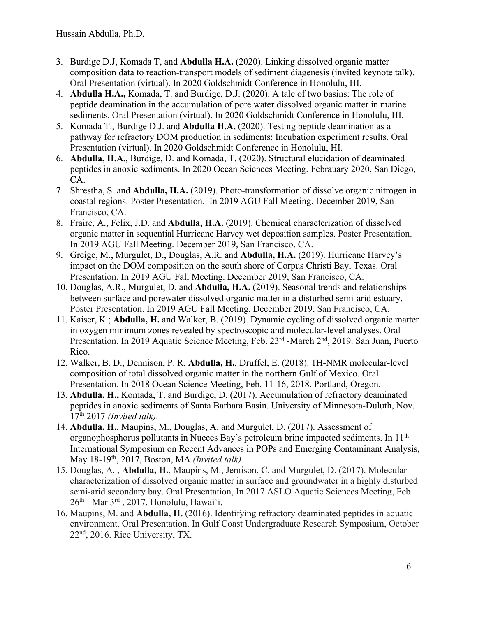- 3. Burdige D.J, Komada T, and **Abdulla H.A.** (2020). Linking dissolved organic matter composition data to reaction-transport models of sediment diagenesis (invited keynote talk). Oral Presentation (virtual). In 2020 Goldschmidt Conference in Honolulu, HI.
- 4. **Abdulla H.A.,** Komada, T. and Burdige, D.J. (2020). A tale of two basins: The role of peptide deamination in the accumulation of pore water dissolved organic matter in marine sediments. Oral Presentation (virtual). In 2020 Goldschmidt Conference in Honolulu, HI.
- 5. Komada T., Burdige D.J. and **Abdulla H.A.** (2020). Testing peptide deamination as a pathway for refractory DOM production in sediments: Incubation experiment results. Oral Presentation (virtual). In 2020 Goldschmidt Conference in Honolulu, HI.
- 6. **Abdulla, H.A.**, Burdige, D. and Komada, T. (2020). Structural elucidation of deaminated peptides in anoxic sediments. In 2020 Ocean Sciences Meeting. Febrauary 2020, San Diego, CA.
- 7. Shrestha, S. and **Abdulla, H.A.** (2019). Photo-transformation of dissolve organic nitrogen in coastal regions. Poster Presentation. In 2019 AGU Fall Meeting. December 2019, San Francisco, CA.
- 8. Fraire, A., Felix, J.D. and **Abdulla, H.A.** (2019). Chemical characterization of dissolved organic matter in sequential Hurricane Harvey wet deposition samples. Poster Presentation. In 2019 AGU Fall Meeting. December 2019, San Francisco, CA.
- 9. Greige, M., Murgulet, D., Douglas, A.R. and **Abdulla, H.A.** (2019). Hurricane Harvey's impact on the DOM composition on the south shore of Corpus Christi Bay, Texas. Oral Presentation. In 2019 AGU Fall Meeting. December 2019, San Francisco, CA.
- 10. Douglas, A.R., Murgulet, D. and **Abdulla, H.A.** (2019). Seasonal trends and relationships between surface and porewater dissolved organic matter in a disturbed semi-arid estuary. Poster Presentation. In 2019 AGU Fall Meeting. December 2019, San Francisco, CA.
- 11. Kaiser, K.; **Abdulla, H.** and Walker, B. (2019). Dynamic cycling of dissolved organic matter in oxygen minimum zones revealed by spectroscopic and molecular-level analyses. Oral Presentation. In 2019 Aquatic Science Meeting, Feb. 23<sup>rd</sup> -March 2<sup>nd</sup>, 2019. San Juan, Puerto Rico.
- 12. Walker, B. D., Dennison, P. R. **Abdulla, H.**, Druffel, E. (2018). 1H-NMR molecular-level composition of total dissolved organic matter in the northern Gulf of Mexico. Oral Presentation. In 2018 Ocean Science Meeting, Feb. 11-16, 2018. Portland, Oregon.
- 13. **Abdulla, H.,** Komada, T. and Burdige, D. (2017). Accumulation of refractory deaminated peptides in anoxic sediments of Santa Barbara Basin. University of Minnesota-Duluth, Nov. 17th 2017 *(Invited talk).*
- 14. **Abdulla, H.**, Maupins, M., Douglas, A. and Murgulet, D. (2017). Assessment of organophosphorus pollutants in Nueces Bay's petroleum brine impacted sediments. In 11th International Symposium on Recent Advances in POPs and Emerging Contaminant Analysis, May 18-19th, 2017, Boston, MA *(Invited talk).*
- 15. Douglas, A. , **Abdulla, H.**, Maupins, M., Jemison, C. and Murgulet, D. (2017). Molecular characterization of dissolved organic matter in surface and groundwater in a highly disturbed semi-arid secondary bay. Oral Presentation, In 2017 ASLO Aquatic Sciences Meeting, Feb  $26<sup>th</sup>$  -Mar  $3<sup>rd</sup>$ , 2017. Honolulu, Hawai'i.
- 16. Maupins, M. and **Abdulla, H.** (2016). Identifying refractory deaminated peptides in aquatic environment. Oral Presentation. In Gulf Coast Undergraduate Research Symposium, October 22nd, 2016. Rice University, TX.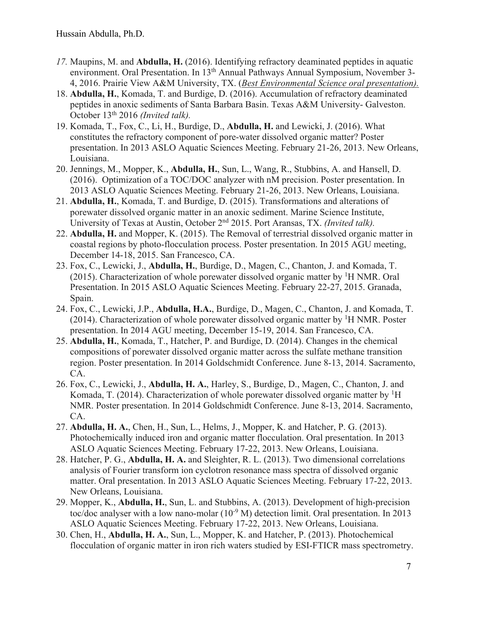- *17.* Maupins, M. and **Abdulla, H.** (2016). Identifying refractory deaminated peptides in aquatic environment. Oral Presentation. In 13<sup>th</sup> Annual Pathways Annual Symposium, November 3-4, 2016. Prairie View A&M University, TX. (*Best Environmental Science oral presentation).*
- 18. **Abdulla, H.**, Komada, T. and Burdige, D. (2016). Accumulation of refractory deaminated peptides in anoxic sediments of Santa Barbara Basin. Texas A&M University- Galveston. October 13<sup>th</sup> 2016 (Invited talk).
- 19. Komada, T., Fox, C., Li, H., Burdige, D., **Abdulla, H.** and Lewicki, J. (2016). What constitutes the refractory component of pore-water dissolved organic matter? Poster presentation. In 2013 ASLO Aquatic Sciences Meeting. February 21-26, 2013. New Orleans, Louisiana.
- 20. Jennings, M., Mopper, K., **Abdulla, H.**, Sun, L., Wang, R., Stubbins, A. and Hansell, D. (2016). Optimization of a TOC/DOC analyzer with nM precision. Poster presentation. In 2013 ASLO Aquatic Sciences Meeting. February 21-26, 2013. New Orleans, Louisiana.
- 21. **Abdulla, H.**, Komada, T. and Burdige, D. (2015). Transformations and alterations of porewater dissolved organic matter in an anoxic sediment. Marine Science Institute, University of Texas at Austin, October 2nd 2015. Port Aransas, TX. *(Invited talk).*
- 22. **Abdulla, H.** and Mopper, K. (2015). The Removal of terrestrial dissolved organic matter in coastal regions by photo-flocculation process. Poster presentation. In 2015 AGU meeting, December 14-18, 2015. San Francesco, CA.
- 23. Fox, C., Lewicki, J., **Abdulla, H.**, Burdige, D., Magen, C., Chanton, J. and Komada, T. (2015). Characterization of whole porewater dissolved organic matter by <sup>1</sup>H NMR. Oral Presentation. In 2015 ASLO Aquatic Sciences Meeting. February 22-27, 2015. Granada, Spain.
- 24. Fox, C., Lewicki, J.P., **Abdulla, H.A.**, Burdige, D., Magen, C., Chanton, J. and Komada, T. (2014). Characterization of whole porewater dissolved organic matter by  ${}^{1}H$  NMR. Poster presentation. In 2014 AGU meeting, December 15-19, 2014. San Francesco, CA.
- 25. **Abdulla, H.**, Komada, T., Hatcher, P. and Burdige, D. (2014). Changes in the chemical compositions of porewater dissolved organic matter across the sulfate methane transition region. Poster presentation. In 2014 Goldschmidt Conference. June 8-13, 2014. Sacramento, CA.
- 26. Fox, C., Lewicki, J., **Abdulla, H. A.**, Harley, S., Burdige, D., Magen, C., Chanton, J. and Komada, T. (2014). Characterization of whole porewater dissolved organic matter by  ${}^{1}H$ NMR. Poster presentation. In 2014 Goldschmidt Conference. June 8-13, 2014. Sacramento, CA.
- 27. **Abdulla, H. A.**, Chen, H., Sun, L., Helms, J., Mopper, K. and Hatcher, P. G. (2013). Photochemically induced iron and organic matter flocculation. Oral presentation. In 2013 ASLO Aquatic Sciences Meeting. February 17-22, 2013. New Orleans, Louisiana.
- 28. Hatcher, P. G., **Abdulla, H. A.** and Sleighter, R. L. (2013). Two dimensional correlations analysis of Fourier transform ion cyclotron resonance mass spectra of dissolved organic matter. Oral presentation. In 2013 ASLO Aquatic Sciences Meeting. February 17-22, 2013. New Orleans, Louisiana.
- 29. Mopper, K., **Abdulla, H.**, Sun, L. and Stubbins, A. (2013). Development of high-precision toc/doc analyser with a low nano-molar  $(10^{-9}$  M) detection limit. Oral presentation. In 2013 ASLO Aquatic Sciences Meeting. February 17-22, 2013. New Orleans, Louisiana.
- 30. Chen, H., **Abdulla, H. A.**, Sun, L., Mopper, K. and Hatcher, P. (2013). Photochemical flocculation of organic matter in iron rich waters studied by ESI-FTICR mass spectrometry.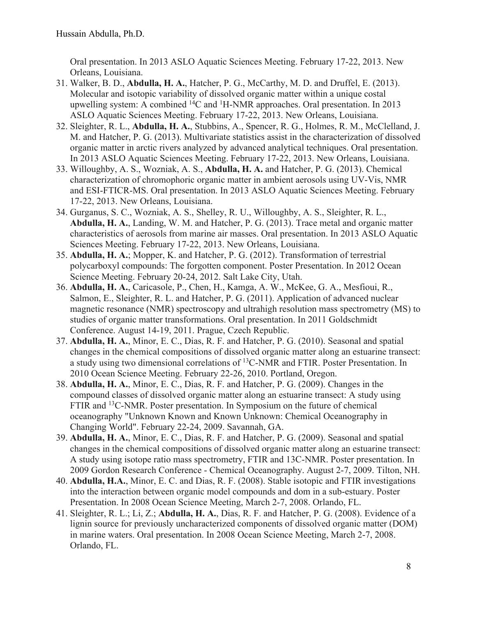Oral presentation. In 2013 ASLO Aquatic Sciences Meeting. February 17-22, 2013. New Orleans, Louisiana.

- 31. Walker, B. D., **Abdulla, H. A.**, Hatcher, P. G., McCarthy, M. D. and Druffel, E. (2013). Molecular and isotopic variability of dissolved organic matter within a unique costal upwelling system: A combined <sup>14</sup>C and <sup>1</sup>H-NMR approaches. Oral presentation. In 2013 ASLO Aquatic Sciences Meeting. February 17-22, 2013. New Orleans, Louisiana.
- 32. Sleighter, R. L., **Abdulla, H. A.**, Stubbins, A., Spencer, R. G., Holmes, R. M., McClelland, J. M. and Hatcher, P. G. (2013). Multivariate statistics assist in the characterization of dissolved organic matter in arctic rivers analyzed by advanced analytical techniques. Oral presentation. In 2013 ASLO Aquatic Sciences Meeting. February 17-22, 2013. New Orleans, Louisiana.
- 33. Willoughby, A. S., Wozniak, A. S., **Abdulla, H. A.** and Hatcher, P. G. (2013). Chemical characterization of chromophoric organic matter in ambient aerosols using UV-Vis, NMR and ESI-FTICR-MS. Oral presentation. In 2013 ASLO Aquatic Sciences Meeting. February 17-22, 2013. New Orleans, Louisiana.
- 34. Gurganus, S. C., Wozniak, A. S., Shelley, R. U., Willoughby, A. S., Sleighter, R. L., **Abdulla, H. A.**, Landing, W. M. and Hatcher, P. G. (2013). Trace metal and organic matter characteristics of aerosols from marine air masses. Oral presentation. In 2013 ASLO Aquatic Sciences Meeting. February 17-22, 2013. New Orleans, Louisiana.
- 35. **Abdulla, H. A.**; Mopper, K. and Hatcher, P. G. (2012). Transformation of terrestrial polycarboxyl compounds: The forgotten component. Poster Presentation. In 2012 Ocean Science Meeting. February 20-24, 2012. Salt Lake City, Utah.
- 36. **Abdulla, H. A.**, Caricasole, P., Chen, H., Kamga, A. W., McKee, G. A., Mesfioui, R., Salmon, E., Sleighter, R. L. and Hatcher, P. G. (2011). Application of advanced nuclear magnetic resonance (NMR) spectroscopy and ultrahigh resolution mass spectrometry (MS) to studies of organic matter transformations. Oral presentation. In 2011 Goldschmidt Conference. August 14-19, 2011. Prague, Czech Republic.
- 37. **Abdulla, H. A.**, Minor, E. C., Dias, R. F. and Hatcher, P. G. (2010). Seasonal and spatial changes in the chemical compositions of dissolved organic matter along an estuarine transect: a study using two dimensional correlations of 13C-NMR and FTIR. Poster Presentation. In 2010 Ocean Science Meeting. February 22-26, 2010. Portland, Oregon.
- 38. **Abdulla, H. A.**, Minor, E. C., Dias, R. F. and Hatcher, P. G. (2009). Changes in the compound classes of dissolved organic matter along an estuarine transect: A study using FTIR and <sup>13</sup>C-NMR. Poster presentation. In Symposium on the future of chemical oceanography "Unknown Known and Known Unknown: Chemical Oceanography in Changing World". February 22-24, 2009. Savannah, GA.
- 39. **Abdulla, H. A.**, Minor, E. C., Dias, R. F. and Hatcher, P. G. (2009). Seasonal and spatial changes in the chemical compositions of dissolved organic matter along an estuarine transect: A study using isotope ratio mass spectrometry, FTIR and 13C-NMR. Poster presentation. In 2009 Gordon Research Conference - Chemical Oceanography. August 2-7, 2009. Tilton, NH.
- 40. **Abdulla, H.A.**, Minor, E. C. and Dias, R. F. (2008). Stable isotopic and FTIR investigations into the interaction between organic model compounds and dom in a sub-estuary. Poster Presentation. In 2008 Ocean Science Meeting, March 2-7, 2008. Orlando, FL.
- 41. Sleighter, R. L.; Li, Z.; **Abdulla, H. A.**, Dias, R. F. and Hatcher, P. G. (2008). Evidence of a lignin source for previously uncharacterized components of dissolved organic matter (DOM) in marine waters. Oral presentation. In 2008 Ocean Science Meeting, March 2-7, 2008. Orlando, FL.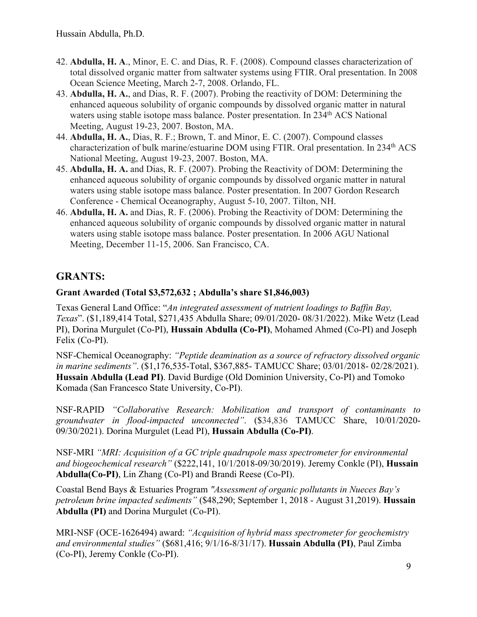- 42. **Abdulla, H. A**., Minor, E. C. and Dias, R. F. (2008). Compound classes characterization of total dissolved organic matter from saltwater systems using FTIR. Oral presentation. In 2008 Ocean Science Meeting, March 2-7, 2008. Orlando, FL.
- 43. **Abdulla, H. A.**, and Dias, R. F. (2007). Probing the reactivity of DOM: Determining the enhanced aqueous solubility of organic compounds by dissolved organic matter in natural waters using stable isotope mass balance. Poster presentation. In 234<sup>th</sup> ACS National Meeting, August 19-23, 2007. Boston, MA.
- 44. **Abdulla, H. A.**, Dias, R. F.; Brown, T. and Minor, E. C. (2007). Compound classes characterization of bulk marine/estuarine DOM using FTIR. Oral presentation. In 234th ACS National Meeting, August 19-23, 2007. Boston, MA.
- 45. **Abdulla, H. A.** and Dias, R. F. (2007). Probing the Reactivity of DOM: Determining the enhanced aqueous solubility of organic compounds by dissolved organic matter in natural waters using stable isotope mass balance. Poster presentation. In 2007 Gordon Research Conference - Chemical Oceanography, August 5-10, 2007. Tilton, NH.
- 46. **Abdulla, H. A.** and Dias, R. F. (2006). Probing the Reactivity of DOM: Determining the enhanced aqueous solubility of organic compounds by dissolved organic matter in natural waters using stable isotope mass balance. Poster presentation. In 2006 AGU National Meeting, December 11-15, 2006. San Francisco, CA.

# **GRANTS:**

#### **Grant Awarded (Total \$3,572,632 ; Abdulla's share \$1,846,003)**

Texas General Land Office: "*An integrated assessment of nutrient loadings to Baffin Bay, Texas*". (\$1,189,414 Total, \$271,435 Abdulla Share; 09/01/2020- 08/31/2022). Mike Wetz (Lead PI), Dorina Murgulet (Co-PI), **Hussain Abdulla (Co-PI)**, Mohamed Ahmed (Co-PI) and Joseph Felix (Co-PI).

NSF-Chemical Oceanography: *"Peptide deamination as a source of refractory dissolved organic in marine sediments"*. (\$1,176,535-Total, \$367,885- TAMUCC Share; 03/01/2018- 02/28/2021). **Hussain Abdulla (Lead PI)**. David Burdige (Old Dominion University, Co-PI) and Tomoko Komada (San Francesco State University, Co-PI).

NSF-RAPID *"Collaborative Research: Mobilization and transport of contaminants to groundwater in flood-impacted unconnected"*. (\$34,836 TAMUCC Share, 10/01/2020- 09/30/2021). Dorina Murgulet (Lead PI), **Hussain Abdulla (Co-PI)**.

NSF-MRI *"MRI: Acquisition of a GC triple quadrupole mass spectrometer for environmental and biogeochemical research"* (\$222,141, 10/1/2018-09/30/2019). Jeremy Conkle (PI), **Hussain Abdulla(Co-PI)**, Lin Zhang (Co-PI) and Brandi Reese (Co-PI).

Coastal Bend Bays & Estuaries Program *"Assessment of organic pollutants in Nueces Bay's petroleum brine impacted sediments"* (\$48,290; September 1, 2018 - August 31,2019). **Hussain Abdulla (PI)** and Dorina Murgulet (Co-PI).

MRI-NSF (OCE-1626494) award: *"Acquisition of hybrid mass spectrometer for geochemistry and environmental studies"* (\$681,416; 9/1/16-8/31/17). **Hussain Abdulla (PI)**, Paul Zimba (Co-PI), Jeremy Conkle (Co-PI).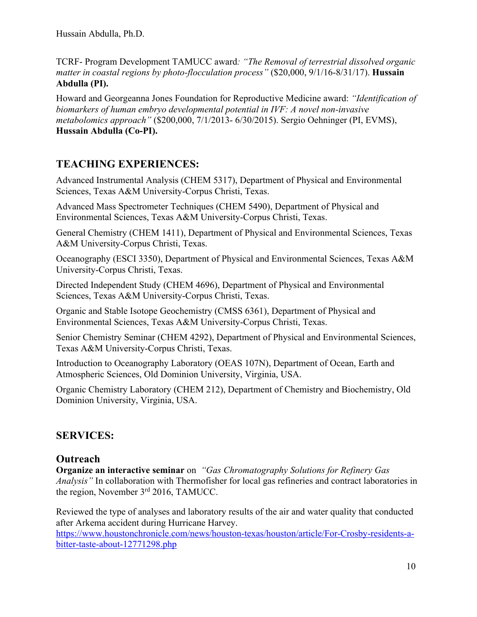TCRF- Program Development TAMUCC award*: "The Removal of terrestrial dissolved organic matter in coastal regions by photo-flocculation process"* (\$20,000, 9/1/16-8/31/17). **Hussain Abdulla (PI).**

Howard and Georgeanna Jones Foundation for Reproductive Medicine award: *"Identification of biomarkers of human embryo developmental potential in IVF: A novel non-invasive metabolomics approach"* (\$200,000, 7/1/2013- 6/30/2015). Sergio Oehninger (PI, EVMS), **Hussain Abdulla (Co-PI).**

## **TEACHING EXPERIENCES:**

Advanced Instrumental Analysis (CHEM 5317), Department of Physical and Environmental Sciences, Texas A&M University-Corpus Christi, Texas.

Advanced Mass Spectrometer Techniques (CHEM 5490), Department of Physical and Environmental Sciences, Texas A&M University-Corpus Christi, Texas.

General Chemistry (CHEM 1411), Department of Physical and Environmental Sciences, Texas A&M University-Corpus Christi, Texas.

Oceanography (ESCI 3350), Department of Physical and Environmental Sciences, Texas A&M University-Corpus Christi, Texas.

Directed Independent Study (CHEM 4696), Department of Physical and Environmental Sciences, Texas A&M University-Corpus Christi, Texas.

Organic and Stable Isotope Geochemistry (CMSS 6361), Department of Physical and Environmental Sciences, Texas A&M University-Corpus Christi, Texas.

Senior Chemistry Seminar (CHEM 4292), Department of Physical and Environmental Sciences, Texas A&M University-Corpus Christi, Texas.

Introduction to Oceanography Laboratory (OEAS 107N), Department of Ocean, Earth and Atmospheric Sciences, Old Dominion University, Virginia, USA.

Organic Chemistry Laboratory (CHEM 212), Department of Chemistry and Biochemistry, Old Dominion University, Virginia, USA.

## **SERVICES:**

### **Outreach**

**Organize an interactive seminar** on *"Gas Chromatography Solutions for Refinery Gas Analysis"* In collaboration with Thermofisher for local gas refineries and contract laboratories in the region, November 3<sup>rd</sup> 2016, TAMUCC.

Reviewed the type of analyses and laboratory results of the air and water quality that conducted after Arkema accident during Hurricane Harvey.

https://www.houstonchronicle.com/news/houston-texas/houston/article/For-Crosby-residents-abitter-taste-about-12771298.php